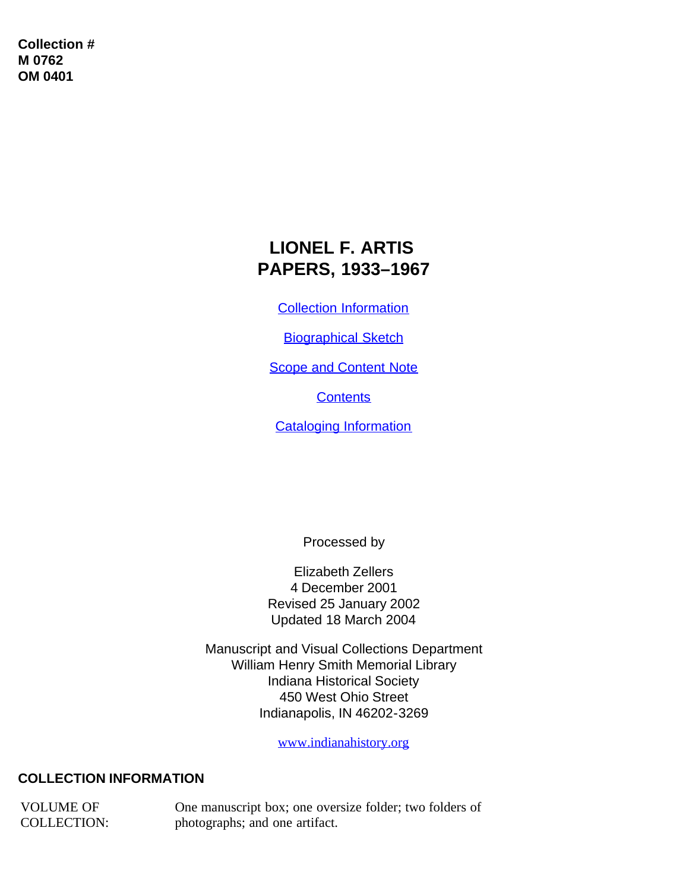**Collection # M 0762 OM 0401**

# **LIONEL F. ARTIS PAPERS, 1933–1967**

[Collection Information](#page-0-0)

[Biographical Sketch](#page-1-0)

**[Scope and Content Note](#page-2-0)** 

**[Contents](#page-2-1)** 

[Cataloging Information](#page-3-0)

Processed by

Elizabeth Zellers 4 December 2001 Revised 25 January 2002 Updated 18 March 2004

Manuscript and Visual Collections Department William Henry Smith Memorial Library Indiana Historical Society 450 West Ohio Street Indianapolis, IN 46202-3269

[www.indianahistory.org](http://www.indianahistory.org/)

## <span id="page-0-0"></span>**COLLECTION INFORMATION**

VOLUME OF COLLECTION:

One manuscript box; one oversize folder; two folders of photographs; and one artifact.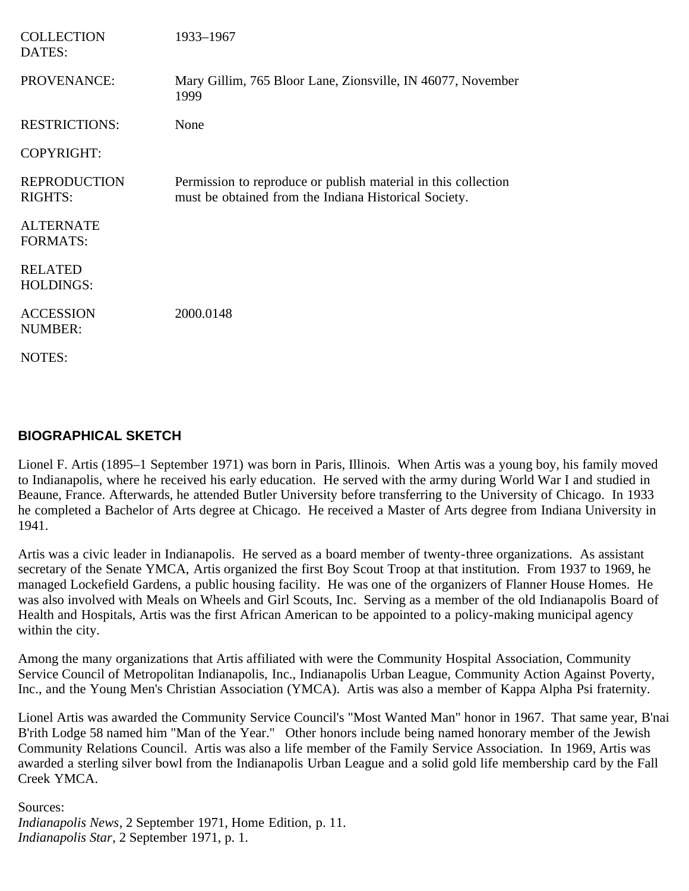| <b>COLLECTION</b><br>DATES:           | 1933-1967                                                                                                               |
|---------------------------------------|-------------------------------------------------------------------------------------------------------------------------|
| PROVENANCE:                           | Mary Gillim, 765 Bloor Lane, Zionsville, IN 46077, November<br>1999                                                     |
| <b>RESTRICTIONS:</b>                  | None                                                                                                                    |
| <b>COPYRIGHT:</b>                     |                                                                                                                         |
| <b>REPRODUCTION</b><br><b>RIGHTS:</b> | Permission to reproduce or publish material in this collection<br>must be obtained from the Indiana Historical Society. |
| <b>ALTERNATE</b><br><b>FORMATS:</b>   |                                                                                                                         |
| <b>RELATED</b><br><b>HOLDINGS:</b>    |                                                                                                                         |
| <b>ACCESSION</b><br><b>NUMBER:</b>    | 2000.0148                                                                                                               |
| <b>NOTES:</b>                         |                                                                                                                         |

#### <span id="page-1-0"></span>**BIOGRAPHICAL SKETCH**

Lionel F. Artis (1895–1 September 1971) was born in Paris, Illinois. When Artis was a young boy, his family moved to Indianapolis, where he received his early education. He served with the army during World War I and studied in Beaune, France. Afterwards, he attended Butler University before transferring to the University of Chicago. In 1933 he completed a Bachelor of Arts degree at Chicago. He received a Master of Arts degree from Indiana University in 1941.

Artis was a civic leader in Indianapolis. He served as a board member of twenty-three organizations. As assistant secretary of the Senate YMCA, Artis organized the first Boy Scout Troop at that institution. From 1937 to 1969, he managed Lockefield Gardens, a public housing facility. He was one of the organizers of Flanner House Homes. He was also involved with Meals on Wheels and Girl Scouts, Inc. Serving as a member of the old Indianapolis Board of Health and Hospitals, Artis was the first African American to be appointed to a policy-making municipal agency within the city.

Among the many organizations that Artis affiliated with were the Community Hospital Association, Community Service Council of Metropolitan Indianapolis, Inc., Indianapolis Urban League, Community Action Against Poverty, Inc., and the Young Men's Christian Association (YMCA). Artis was also a member of Kappa Alpha Psi fraternity.

Lionel Artis was awarded the Community Service Council's "Most Wanted Man" honor in 1967. That same year, B'nai B'rith Lodge 58 named him "Man of the Year." Other honors include being named honorary member of the Jewish Community Relations Council. Artis was also a life member of the Family Service Association. In 1969, Artis was awarded a sterling silver bowl from the Indianapolis Urban League and a solid gold life membership card by the Fall Creek YMCA.

Sources: *Indianapolis News*, 2 September 1971, Home Edition, p. 11. *Indianapolis Star*, 2 September 1971, p. 1.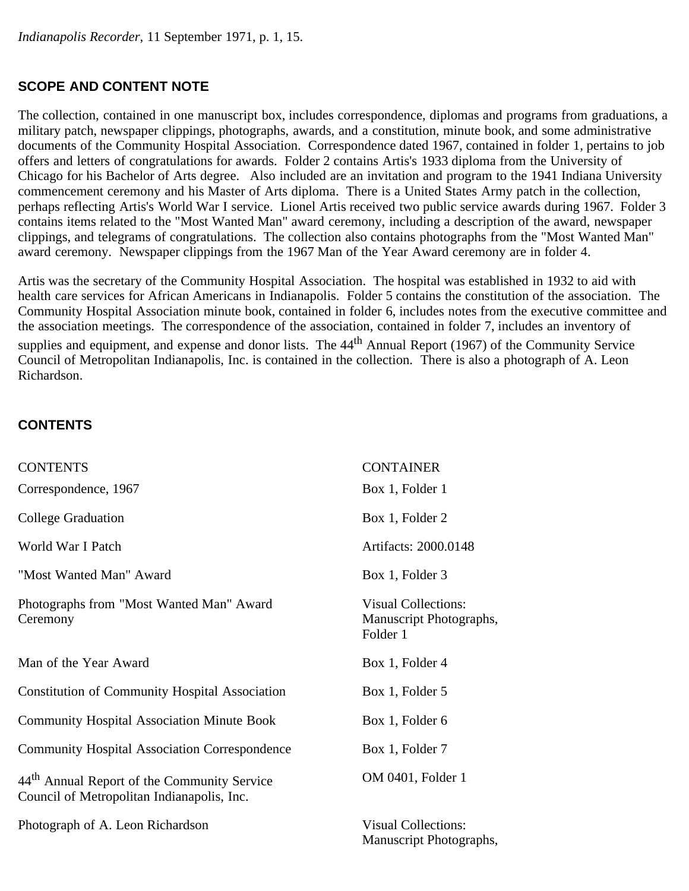## <span id="page-2-0"></span>**SCOPE AND CONTENT NOTE**

The collection, contained in one manuscript box, includes correspondence, diplomas and programs from graduations, a military patch, newspaper clippings, photographs, awards, and a constitution, minute book, and some administrative documents of the Community Hospital Association. Correspondence dated 1967, contained in folder 1, pertains to job offers and letters of congratulations for awards. Folder 2 contains Artis's 1933 diploma from the University of Chicago for his Bachelor of Arts degree. Also included are an invitation and program to the 1941 Indiana University commencement ceremony and his Master of Arts diploma. There is a United States Army patch in the collection, perhaps reflecting Artis's World War I service. Lionel Artis received two public service awards during 1967. Folder 3 contains items related to the "Most Wanted Man" award ceremony, including a description of the award, newspaper clippings, and telegrams of congratulations. The collection also contains photographs from the "Most Wanted Man" award ceremony. Newspaper clippings from the 1967 Man of the Year Award ceremony are in folder 4.

Artis was the secretary of the Community Hospital Association. The hospital was established in 1932 to aid with health care services for African Americans in Indianapolis. Folder 5 contains the constitution of the association. The Community Hospital Association minute book, contained in folder 6, includes notes from the executive committee and the association meetings. The correspondence of the association, contained in folder 7, includes an inventory of supplies and equipment, and expense and donor lists. The 44<sup>th</sup> Annual Report (1967) of the Community Service Council of Metropolitan Indianapolis, Inc. is contained in the collection. There is also a photograph of A. Leon Richardson.

## <span id="page-2-1"></span>**CONTENTS**

| <b>CONTENTS</b>                                                                                       | <b>CONTAINER</b>                                                  |
|-------------------------------------------------------------------------------------------------------|-------------------------------------------------------------------|
| Correspondence, 1967                                                                                  | Box 1, Folder 1                                                   |
| <b>College Graduation</b>                                                                             | Box 1, Folder 2                                                   |
| World War I Patch                                                                                     | Artifacts: 2000.0148                                              |
| "Most Wanted Man" Award                                                                               | Box 1, Folder 3                                                   |
| Photographs from "Most Wanted Man" Award<br>Ceremony                                                  | <b>Visual Collections:</b><br>Manuscript Photographs,<br>Folder 1 |
| Man of the Year Award                                                                                 | Box 1, Folder 4                                                   |
| <b>Constitution of Community Hospital Association</b>                                                 | Box 1, Folder 5                                                   |
| <b>Community Hospital Association Minute Book</b>                                                     | Box 1, Folder 6                                                   |
| <b>Community Hospital Association Correspondence</b>                                                  | Box 1, Folder 7                                                   |
| 44 <sup>th</sup> Annual Report of the Community Service<br>Council of Metropolitan Indianapolis, Inc. | OM 0401, Folder 1                                                 |
| Photograph of A. Leon Richardson                                                                      | <b>Visual Collections:</b><br>Manuscript Photographs,             |